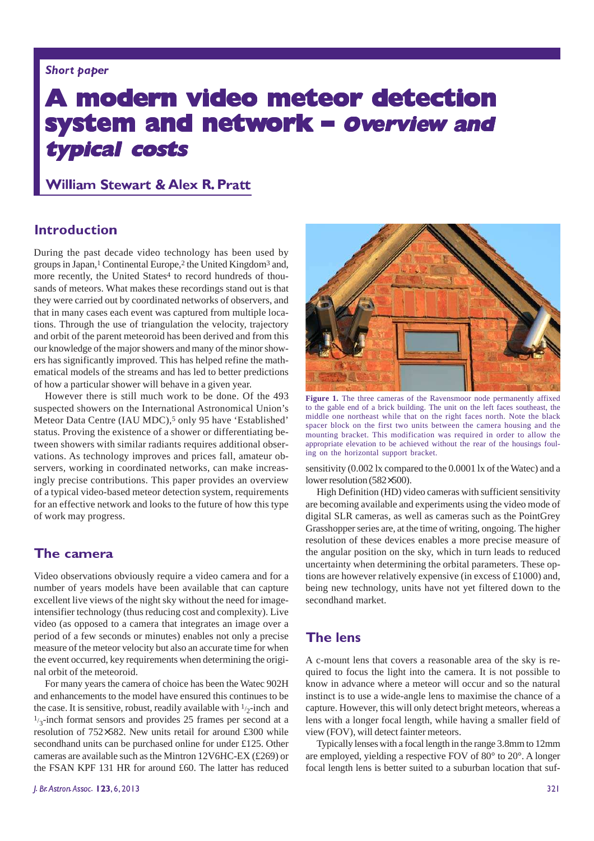#### Short paper

# A modern video meteor detection system and network - Overview and typical costs

# **William Stewart & Alex R. Pratt**

# **Introduction**

During the past decade video technology has been used by groups in Japan,<sup>1</sup> Continental Europe,<sup>2</sup> the United Kingdom<sup>3</sup> and, more recently, the United States<sup>4</sup> to record hundreds of thousands of meteors. What makes these recordings stand out is that they were carried out by coordinated networks of observers, and that in many cases each event was captured from multiple locations. Through the use of triangulation the velocity, trajectory and orbit of the parent meteoroid has been derived and from this our knowledge of the major showers and many of the minor showers has significantly improved. This has helped refine the mathematical models of the streams and has led to better predictions of how a particular shower will behave in a given year.

However there is still much work to be done. Of the 493 suspected showers on the International Astronomical Union's Meteor Data Centre (IAU MDC),<sup>5</sup> only 95 have 'Established' status. Proving the existence of a shower or differentiating between showers with similar radiants requires additional observations. As technology improves and prices fall, amateur observers, working in coordinated networks, can make increasingly precise contributions. This paper provides an overview of a typical video-based meteor detection system, requirements for an effective network and looks to the future of how this type of work may progress.

# The camera

Video observations obviously require a video camera and for a number of years models have been available that can capture excellent live views of the night sky without the need for imageintensifier technology (thus reducing cost and complexity). Live video (as opposed to a camera that integrates an image over a period of a few seconds or minutes) enables not only a precise measure of the meteor velocity but also an accurate time for when the event occurred, key requirements when determining the original orbit of the meteoroid.

For many years the camera of choice has been the Watec 902H and enhancements to the model have ensured this continues to be the case. It is sensitive, robust, readily available with  $\frac{1}{2}$ -inch and  $\frac{1}{3}$ -inch format sensors and provides 25 frames per second at a resolution of 752×582. New units retail for around £300 while secondhand units can be purchased online for under £125. Other cameras are available such as the Mintron 12V6HC-EX (£269) or the FSAN KPF 131 HR for around £60. The latter has reduced



Figure 1. The three cameras of the Ravensmoor node permanently affixed to the gable end of a brick building. The unit on the left faces southeast, the middle one northeast while that on the right faces north. Note the black spacer block on the first two units between the camera housing and the mounting bracket. This modification was required in order to allow the appropriate elevation to be achieved without the rear of the housings fouling on the horizontal support bracket.

sensitivity (0.002 lx compared to the 0.0001 lx of the Watec) and a lower resolution (582×500).

High Definition (HD) video cameras with sufficient sensitivity are becoming available and experiments using the video mode of digital SLR cameras, as well as cameras such as the PointGrey Grasshopper series are, at the time of writing, ongoing. The higher resolution of these devices enables a more precise measure of the angular position on the sky, which in turn leads to reduced uncertainty when determining the orbital parameters. These options are however relatively expensive (in excess of £1000) and, being new technology, units have not yet filtered down to the secondhand market.

# **The lens**

A c-mount lens that covers a reasonable area of the sky is required to focus the light into the camera. It is not possible to know in advance where a meteor will occur and so the natural instinct is to use a wide-angle lens to maximise the chance of a capture. However, this will only detect bright meteors, whereas a lens with a longer focal length, while having a smaller field of view (FOV), will detect fainter meteors.

Typically lenses with a focal length in the range 3.8mm to 12mm are employed, yielding a respective FOV of 80° to 20°. A longer focal length lens is better suited to a suburban location that suf-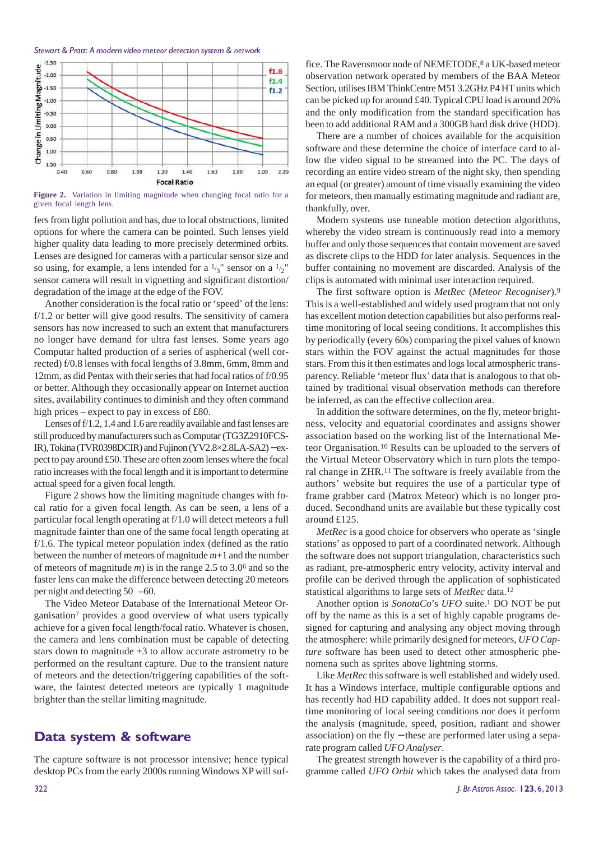#### Stewart & Pratt: A modern video meteor detection system & network



**Figure 2.** Variation in limiting magnitude when changing focal ratio for a given focal length lens.

fers from light pollution and has, due to local obstructions, limited options for where the camera can be pointed. Such lenses yield higher quality data leading to more precisely determined orbits. Lenses are designed for cameras with a particular sensor size and so using, for example, a lens intended for a  $\frac{1}{3}$  sensor on a  $\frac{1}{2}$ " sensor camera will result in vignetting and significant distortion/ degradation of the image at the edge of the FOV.

Another consideration is the focal ratio or 'speed' of the lens: f/1.2 or better will give good results. The sensitivity of camera sensors has now increased to such an extent that manufacturers no longer have demand for ultra fast lenses. Some years ago Computar halted production of a series of aspherical (well corrected) f/0.8 lenses with focal lengths of 3.8mm, 6mm, 8mm and 12mm, as did Pentax with their series that had focal ratios of f/0.95 or better. Although they occasionally appear on Internet auction sites, availability continues to diminish and they often command high prices – expect to pay in excess of £80.

Lenses of f/1.2, 1.4 and 1.6 are readily available and fast lenses are still produced by manufacturers such as Computar (TG3Z2910FCS-IR), Tokina (TVR0398DCIR) and Fujinon (YV2.8×2.8LA-SA2) − expect to pay around £50. These are often zoom lenses where the focal ratio increases with the focal length and it is important to determine actual speed for a given focal length.

Figure 2 shows how the limiting magnitude changes with focal ratio for a given focal length. As can be seen, a lens of a particular focal length operating at f/1.0 will detect meteors a full magnitude fainter than one of the same focal length operating at f/1.6. The typical meteor population index (defined as the ratio between the number of meteors of magnitude *m*+1 and the number of meteors of magnitude *m*) is in the range 2.5 to 3.06 and so the faster lens can make the difference between detecting 20 meteors per night and detecting 50 –60.

The Video Meteor Database of the International Meteor Organisation7 provides a good overview of what users typically achieve for a given focal length/focal ratio. Whatever is chosen, the camera and lens combination must be capable of detecting stars down to magnitude +3 to allow accurate astrometry to be performed on the resultant capture. Due to the transient nature of meteors and the detection/triggering capabilities of the software, the faintest detected meteors are typically 1 magnitude brighter than the stellar limiting magnitude.

# Data system & software

The capture software is not processor intensive; hence typical desktop PCs from the early 2000s running Windows XP will suffice. The Ravensmoor node of NEMETODE,<sup>8</sup> a UK-based meteor observation network operated by members of the BAA Meteor Section, utilises IBM ThinkCentre M51 3.2GHz P4 HT units which can be picked up for around £40. Typical CPU load is around 20% and the only modification from the standard specification has been to add additional RAM and a 300GB hard disk drive (HDD).

There are a number of choices available for the acquisition software and these determine the choice of interface card to allow the video signal to be streamed into the PC. The days of recording an entire video stream of the night sky, then spending an equal (or greater) amount of time visually examining the video for meteors, then manually estimating magnitude and radiant are, thankfully, over.

Modern systems use tuneable motion detection algorithms, whereby the video stream is continuously read into a memory buffer and only those sequences that contain movement are saved as discrete clips to the HDD for later analysis. Sequences in the buffer containing no movement are discarded. Analysis of the clips is automated with minimal user interaction required.

The first software option is *MetRec* (*Meteor Recogniser*).<sup>9</sup> This is a well-established and widely used program that not only has excellent motion detection capabilities but also performs realtime monitoring of local seeing conditions. It accomplishes this by periodically (every 60s) comparing the pixel values of known stars within the FOV against the actual magnitudes for those stars. From this it then estimates and logs local atmospheric transparency. Reliable 'meteor flux' data that is analogous to that obtained by traditional visual observation methods can therefore be inferred, as can the effective collection area.

In addition the software determines, on the fly, meteor brightness, velocity and equatorial coordinates and assigns shower association based on the working list of the International Meteor Organisation.<sup>10</sup> Results can be uploaded to the servers of the Virtual Meteor Observatory which in turn plots the temporal change in ZHR.<sup>11</sup> The software is freely available from the authors' website but requires the use of a particular type of frame grabber card (Matrox Meteor) which is no longer produced. Secondhand units are available but these typically cost around £125.

*MetRec* is a good choice for observers who operate as 'single stations' as opposed to part of a coordinated network. Although the software does not support triangulation, characteristics such as radiant, pre-atmospheric entry velocity, activity interval and profile can be derived through the application of sophisticated statistical algorithms to large sets of *MetRec* data.<sup>12</sup>

Another option is *SonotaCo*'s *UFO* suite.<sup>1</sup> DO NOT be put off by the name as this is a set of highly capable programs designed for capturing and analysing any object moving through the atmosphere: while primarily designed for meteors, *UFO Capture* software has been used to detect other atmospheric phenomena such as sprites above lightning storms.

Like *MetRec* this software is well established and widely used. It has a Windows interface, multiple configurable options and has recently had HD capability added. It does not support realtime monitoring of local seeing conditions nor does it perform the analysis (magnitude, speed, position, radiant and shower association) on the fly − these are performed later using a separate program called *UFO Analyser*.

The greatest strength however is the capability of a third programme called *UFO Orbit* which takes the analysed data from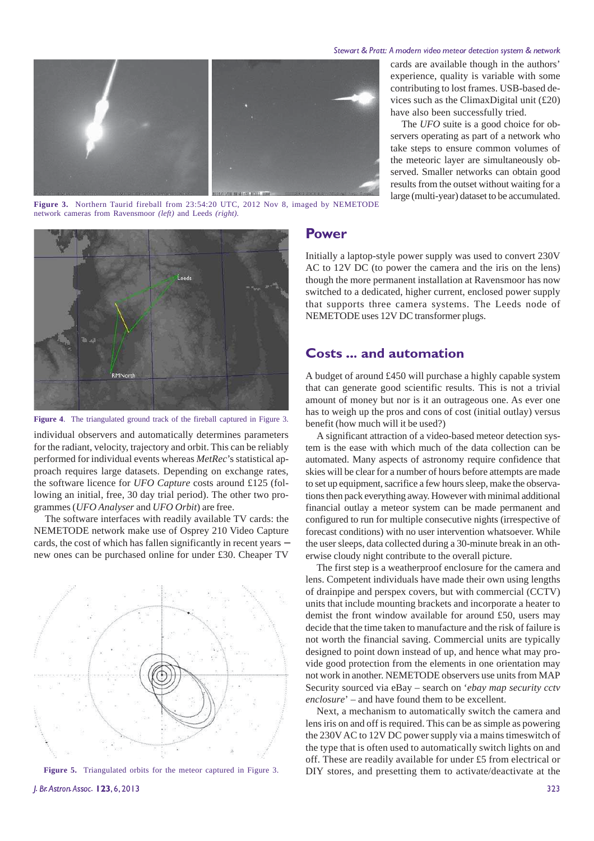#### Stewart & Pratt: A modern video meteor detection system & network



cards are available though in the authors' experience, quality is variable with some contributing to lost frames. USB-based devices such as the ClimaxDigital unit (£20) have also been successfully tried.

The *UFO* suite is a good choice for observers operating as part of a network who take steps to ensure common volumes of the meteoric layer are simultaneously observed. Smaller networks can obtain good results from the outset without waiting for a large (multi-year) dataset to be accumulated.

**Figure 3.** Northern Taurid fireball from 23:54:20 UTC, 2012 Nov 8, imaged by NEMETODE network cameras from Ravensmoor *(left)* and Leeds *(right).*



**Figure 4**. The triangulated ground track of the fireball captured in Figure 3.

individual observers and automatically determines parameters for the radiant, velocity, trajectory and orbit. This can be reliably performed for individual events whereas *MetRec*'s statistical approach requires large datasets. Depending on exchange rates, the software licence for *UFO Capture* costs around £125 (following an initial, free, 30 day trial period). The other two programmes (*UFO Analyser* and *UFO Orbit*) are free.

The software interfaces with readily available TV cards: the NEMETODE network make use of Osprey 210 Video Capture cards, the cost of which has fallen significantly in recent years − new ones can be purchased online for under £30. Cheaper TV





#### Power

Initially a laptop-style power supply was used to convert 230V AC to 12V DC (to power the camera and the iris on the lens) though the more permanent installation at Ravensmoor has now switched to a dedicated, higher current, enclosed power supply that supports three camera systems. The Leeds node of NEMETODE uses 12V DC transformer plugs.

### **Costs ... and automation**

A budget of around £450 will purchase a highly capable system that can generate good scientific results. This is not a trivial amount of money but nor is it an outrageous one. As ever one has to weigh up the pros and cons of cost (initial outlay) versus benefit (how much will it be used?)

A significant attraction of a video-based meteor detection system is the ease with which much of the data collection can be automated. Many aspects of astronomy require confidence that skies will be clear for a number of hours before attempts are made to set up equipment, sacrifice a few hours sleep, make the observations then pack everything away. However with minimal additional financial outlay a meteor system can be made permanent and configured to run for multiple consecutive nights (irrespective of forecast conditions) with no user intervention whatsoever. While the user sleeps, data collected during a 30-minute break in an otherwise cloudy night contribute to the overall picture.

The first step is a weatherproof enclosure for the camera and lens. Competent individuals have made their own using lengths of drainpipe and perspex covers, but with commercial (CCTV) units that include mounting brackets and incorporate a heater to demist the front window available for around £50, users may decide that the time taken to manufacture and the risk of failure is not worth the financial saving. Commercial units are typically designed to point down instead of up, and hence what may provide good protection from the elements in one orientation may not work in another. NEMETODE observers use units from MAP Security sourced via eBay – search on '*ebay map security cctv enclosure*' – and have found them to be excellent.

Next, a mechanism to automatically switch the camera and lens iris on and off is required. This can be as simple as powering the 230V AC to 12V DC power supply via a mains timeswitch of the type that is often used to automatically switch lights on and off. These are readily available for under £5 from electrical or DIY stores, and presetting them to activate/deactivate at the